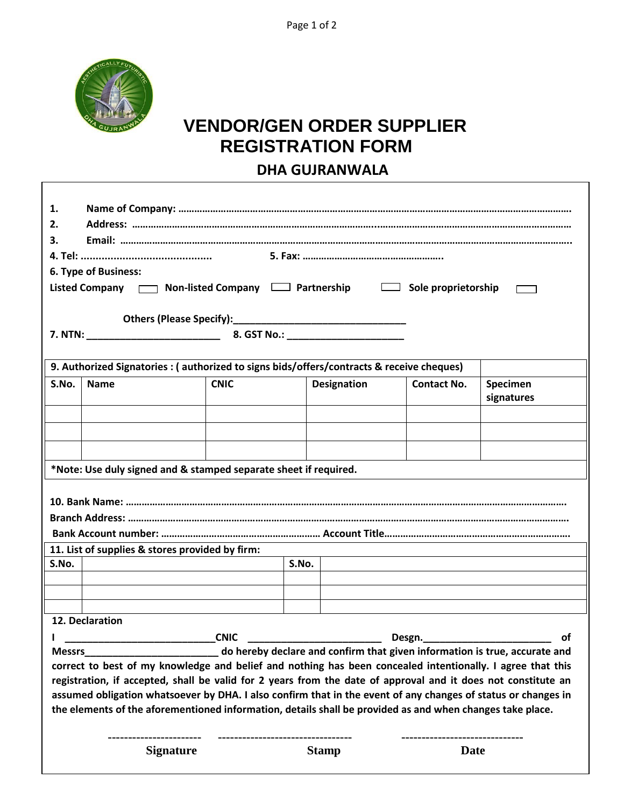

## **VENDOR/GEN ORDER SUPPLIER REGISTRATION FORM DHA GUJRANWALA**

| 1.                                                                                                            |                 |                                                                                                              |                    |                    |                        |  |  |  |
|---------------------------------------------------------------------------------------------------------------|-----------------|--------------------------------------------------------------------------------------------------------------|--------------------|--------------------|------------------------|--|--|--|
| 2.                                                                                                            |                 |                                                                                                              |                    |                    |                        |  |  |  |
| 3.                                                                                                            |                 |                                                                                                              |                    |                    |                        |  |  |  |
|                                                                                                               |                 |                                                                                                              |                    |                    |                        |  |  |  |
| 6. Type of Business:                                                                                          |                 |                                                                                                              |                    |                    |                        |  |  |  |
| Listed Company $\Box$ Non-listed Company $\Box$ Partnership $\Box$ Sole proprietorship                        |                 |                                                                                                              |                    |                    |                        |  |  |  |
|                                                                                                               |                 |                                                                                                              |                    |                    |                        |  |  |  |
|                                                                                                               |                 |                                                                                                              |                    |                    |                        |  |  |  |
|                                                                                                               |                 |                                                                                                              |                    |                    |                        |  |  |  |
|                                                                                                               |                 |                                                                                                              |                    |                    |                        |  |  |  |
|                                                                                                               |                 | 9. Authorized Signatories : (authorized to signs bids/offers/contracts & receive cheques)                    |                    |                    |                        |  |  |  |
| S.No.                                                                                                         | <b>Name</b>     | <b>CNIC</b>                                                                                                  | <b>Designation</b> | <b>Contact No.</b> | Specimen<br>signatures |  |  |  |
|                                                                                                               |                 |                                                                                                              |                    |                    |                        |  |  |  |
|                                                                                                               |                 |                                                                                                              |                    |                    |                        |  |  |  |
|                                                                                                               |                 |                                                                                                              |                    |                    |                        |  |  |  |
|                                                                                                               |                 |                                                                                                              |                    |                    |                        |  |  |  |
|                                                                                                               |                 | *Note: Use duly signed and & stamped separate sheet if required.                                             |                    |                    |                        |  |  |  |
|                                                                                                               |                 |                                                                                                              |                    |                    |                        |  |  |  |
|                                                                                                               |                 |                                                                                                              |                    |                    |                        |  |  |  |
|                                                                                                               |                 |                                                                                                              |                    |                    |                        |  |  |  |
|                                                                                                               |                 |                                                                                                              |                    |                    |                        |  |  |  |
|                                                                                                               |                 | 11. List of supplies & stores provided by firm:                                                              |                    |                    |                        |  |  |  |
| S.No.                                                                                                         |                 |                                                                                                              | S.No.              |                    |                        |  |  |  |
|                                                                                                               |                 |                                                                                                              |                    |                    |                        |  |  |  |
|                                                                                                               |                 |                                                                                                              |                    |                    |                        |  |  |  |
|                                                                                                               | 12. Declaration |                                                                                                              |                    |                    |                        |  |  |  |
|                                                                                                               |                 |                                                                                                              |                    |                    | Οt                     |  |  |  |
|                                                                                                               |                 | Messrs___________________________ do hereby declare and confirm that given information is true, accurate and |                    |                    |                        |  |  |  |
| correct to best of my knowledge and belief and nothing has been concealed intentionally. I agree that this    |                 |                                                                                                              |                    |                    |                        |  |  |  |
| registration, if accepted, shall be valid for 2 years from the date of approval and it does not constitute an |                 |                                                                                                              |                    |                    |                        |  |  |  |
| assumed obligation whatsoever by DHA. I also confirm that in the event of any changes of status or changes in |                 |                                                                                                              |                    |                    |                        |  |  |  |
| the elements of the aforementioned information, details shall be provided as and when changes take place.     |                 |                                                                                                              |                    |                    |                        |  |  |  |
|                                                                                                               |                 |                                                                                                              |                    |                    |                        |  |  |  |
|                                                                                                               |                 | <b>Signature</b>                                                                                             | <b>Stamp</b>       | <b>Date</b>        |                        |  |  |  |